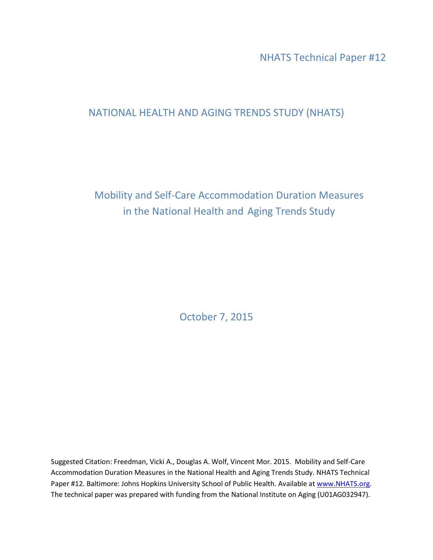NHATS Technical Paper #12

# NATIONAL HEALTH AND AGING TRENDS STUDY (NHATS)

Mobility and Self-Care Accommodation Duration Measures in the National Health and Aging Trends Study

October 7, 2015

Suggested Citation: Freedman, Vicki A., Douglas A. Wolf, Vincent Mor. 2015. Mobility and Self-Care Accommodation Duration Measures in the National Health and Aging Trends Study. NHATS Technical Paper #12. Baltimore: Johns Hopkins University School of Public Health. Available at www.NHATS.org. The technical paper was prepared with funding from the National Institute on Aging (U01AG032947).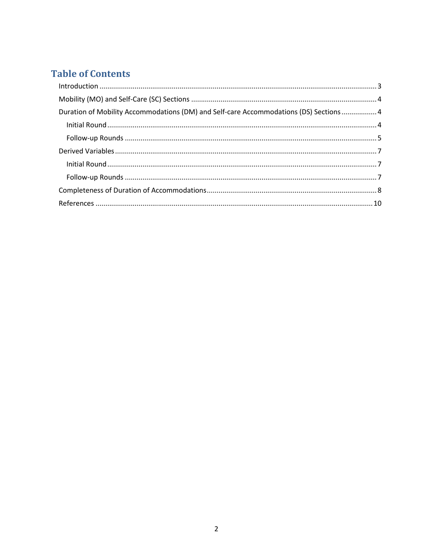# **Table of Contents**

| Duration of Mobility Accommodations (DM) and Self-care Accommodations (DS) Sections  4 |  |
|----------------------------------------------------------------------------------------|--|
|                                                                                        |  |
|                                                                                        |  |
|                                                                                        |  |
|                                                                                        |  |
|                                                                                        |  |
|                                                                                        |  |
|                                                                                        |  |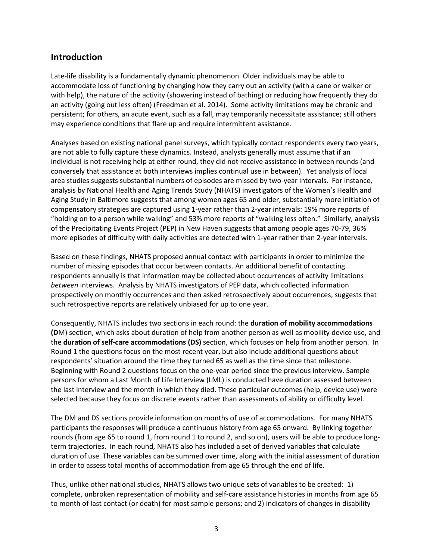### <span id="page-2-0"></span>**Introduction**

Late-life disability is a fundamentally dynamic phenomenon. Older individuals may be able to accommodate loss of functioning by changing how they carry out an activity (with a cane or walker or with help), the nature of the activity (showering instead of bathing) or reducing how frequently they do an activity (going out less often) (Freedman et al. 2014). Some activity limitations may be chronic and persistent; for others, an acute event, such as a fall, may temporarily necessitate assistance; still others may experience conditions that flare up and require intermittent assistance.

Analyses based on existing national panel surveys, which typically contact respondents every two years, are not able to fully capture these dynamics. Instead, analysts generally must assume that if an individual is not receiving help at either round, they did not receive assistance in between rounds (and conversely that assistance at both interviews implies continual use in between). Yet analysis of local area studies suggests substantial numbers of episodes are missed by two-year intervals. For instance, analysis by National Health and Aging Trends Study (NHATS) investigators of the Women's Health and Aging Study in Baltimore suggests that among women ages 65 and older, substantially more initiation of compensatory strategies are captured using 1-year rather than 2-year intervals: 19% more reports of "holding on to a person while walking" and 53% more reports of "walking less often." Similarly, analysis of the Precipitating Events Project (PEP) in New Haven suggests that among people ages 70-79, 36% more episodes of difficulty with daily activities are detected with 1-year rather than 2-year intervals.

Based on these findings, NHATS proposed annual contact with participants in order to minimize the number of missing episodes that occur between contacts. An additional benefit of contacting respondents annually is that information may be collected about occurrences of activity limitations *between* interviews. Analysis by NHATS investigators of PEP data, which collected information prospectively on monthly occurrences and then asked retrospectively about occurrences, suggests that such retrospective reports are relatively unbiased for up to one year.

Consequently, NHATS includes two sections in each round: the **duration of mobility accommodations (D**M) section, which asks about duration of help from another person as well as mobility device use, and the **duration of self-care accommodations (DS)** section, which focuses on help from another person. In Round 1 the questions focus on the most recent year, but also include additional questions about respondents' situation around the time they turned 65 as well as the time since that milestone. Beginning with Round 2 questions focus on the one-year period since the previous interview. Sample persons for whom a Last Month of Life Interview (LML) is conducted have duration assessed between the last interview and the month in which they died. These particular outcomes (help, device use) were selected because they focus on discrete events rather than assessments of ability or difficulty level.

The DM and DS sections provide information on months of use of accommodations. For many NHATS participants the responses will produce a continuous history from age 65 onward. By linking together rounds (from age 65 to round 1, from round 1 to round 2, and so on), users will be able to produce longterm trajectories. In each round, NHATS also has included a set of derived variables that calculate duration of use. These variables can be summed over time, along with the initial assessment of duration in order to assess total months of accommodation from age 65 through the end of life.

Thus, unlike other national studies, NHATS allows two unique sets of variables to be created: 1) complete, unbroken representation of mobility and self-care assistance histories in months from age 65 to month of last contact (or death) for most sample persons; and 2) indicators of changes in disability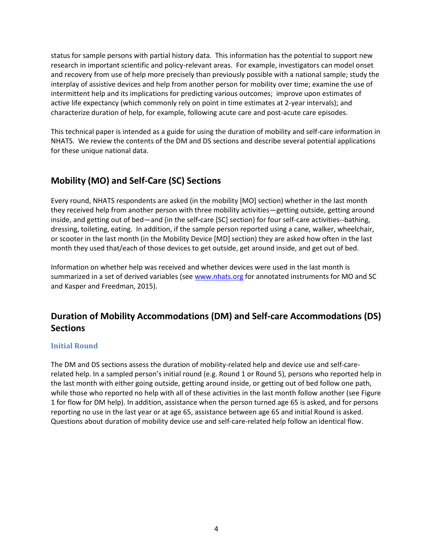status for sample persons with partial history data. This information has the potential to support new research in important scientific and policy-relevant areas. For example, investigators can model onset and recovery from use of help more precisely than previously possible with a national sample; study the interplay of assistive devices and help from another person for mobility over time; examine the use of intermittent help and its implications for predicting various outcomes; improve upon estimates of active life expectancy (which commonly rely on point in time estimates at 2-year intervals); and characterize duration of help, for example, following acute care and post-acute care episodes.

This technical paper is intended as a guide for using the duration of mobility and self-care information in NHATS. We review the contents of the DM and DS sections and describe several potential applications for these unique national data.

# <span id="page-3-0"></span>**Mobility (MO) and Self-Care (SC) Sections**

Every round, NHATS respondents are asked (in the mobility [MO] section) whether in the last month they received help from another person with three mobility activities—getting outside, getting around inside, and getting out of bed—and (in the self**-**care [SC] section) for four self-care activities--bathing, dressing, toileting, eating. In addition, if the sample person reported using a cane, walker, wheelchair, or scooter in the last month (in the Mobility Device [MD] section) they are asked how often in the last month they used that/each of those devices to get outside, get around inside, and get out of bed.

Information on whether help was received and whether devices were used in the last month is summarized in a set of derived variables (see [www.nhats.org](http://www.nhats.org/) for annotated instruments for MO and SC and Kasper and Freedman, 2015).

# <span id="page-3-1"></span>**Duration of Mobility Accommodations (DM) and Self-care Accommodations (DS) Sections**

#### <span id="page-3-2"></span>**Initial Round**

The DM and DS sections assess the duration of mobility-related help and device use and self-carerelated help. In a sampled person's initial round (e.g. Round 1 or Round 5), persons who reported help in the last month with either going outside, getting around inside, or getting out of bed follow one path, while those who reported no help with all of these activities in the last month follow another (see Figure 1 for flow for DM help). In addition, assistance when the person turned age 65 is asked, and for persons reporting no use in the last year or at age 65, assistance between age 65 and initial Round is asked. Questions about duration of mobility device use and self-care-related help follow an identical flow.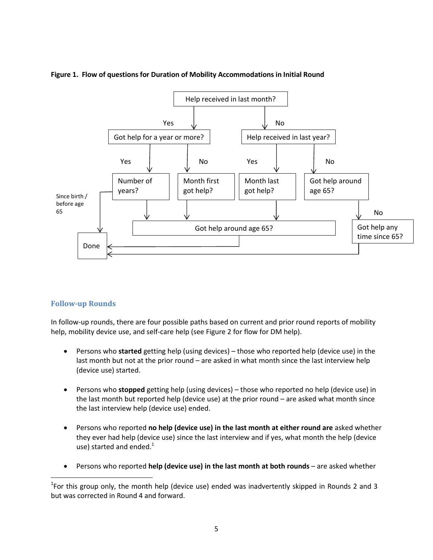

#### **Figure 1. Flow of questions for Duration of Mobility Accommodations in Initial Round**

#### <span id="page-4-0"></span>**Follow-up Rounds**

In follow-up rounds, there are four possible paths based on current and prior round reports of mobility help, mobility device use, and self-care help (see Figure 2 for flow for DM help).

- Persons who **started** getting help (using devices) those who reported help (device use) in the last month but not at the prior round – are asked in what month since the last interview help (device use) started.
- Persons who **stopped** getting help (using devices) those who reported no help (device use) in the last month but reported help (device use) at the prior round – are asked what month since the last interview help (device use) ended.
- Persons who reported **no help (device use) in the last month at either round are** asked whether they ever had help (device use) since the last interview and if yes, what month the help (device use) started and ended. $1$
- Persons who reported **help (device use) in the last month at both rounds** are asked whether

l <sup>1</sup>For this group only, the month help (device use) ended was inadvertently skipped in Rounds 2 and 3 but was corrected in Round 4 and forward.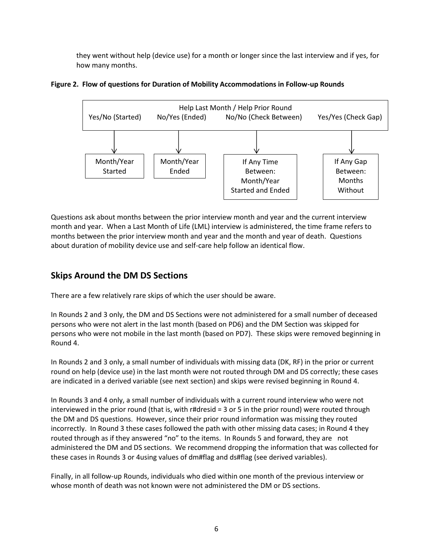they went without help (device use) for a month or longer since the last interview and if yes, for how many months.

#### **Figure 2. Flow of questions for Duration of Mobility Accommodations in Follow-up Rounds**



Questions ask about months between the prior interview month and year and the current interview month and year. When a Last Month of Life (LML) interview is administered, the time frame refers to months between the prior interview month and year and the month and year of death. Questions about duration of mobility device use and self-care help follow an identical flow.

## **Skips Around the DM DS Sections**

There are a few relatively rare skips of which the user should be aware.

In Rounds 2 and 3 only, the DM and DS Sections were not administered for a small number of deceased persons who were not alert in the last month (based on PD6) and the DM Section was skipped for persons who were not mobile in the last month (based on PD7). These skips were removed beginning in Round 4.

In Rounds 2 and 3 only, a small number of individuals with missing data (DK, RF) in the prior or current round on help (device use) in the last month were not routed through DM and DS correctly; these cases are indicated in a derived variable (see next section) and skips were revised beginning in Round 4.

In Rounds 3 and 4 only, a small number of individuals with a current round interview who were not interviewed in the prior round (that is, with r#dresid =  $3$  or  $5$  in the prior round) were routed through the DM and DS questions. However, since their prior round information was missing they routed incorrectly. In Round 3 these cases followed the path with other missing data cases; in Round 4 they routed through as if they answered "no" to the items. In Rounds 5 and forward, they are not administered the DM and DS sections. We recommend dropping the information that was collected for these cases in Rounds 3 or 4using values of dm#flag and ds#flag (see derived variables).

Finally, in all follow-up Rounds, individuals who died within one month of the previous interview or whose month of death was not known were not administered the DM or DS sections.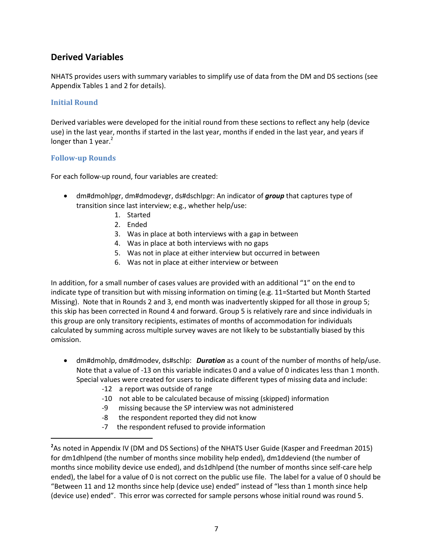## <span id="page-6-0"></span>**Derived Variables**

NHATS provides users with summary variables to simplify use of data from the DM and DS sections (see Appendix Tables 1 and 2 for details).

#### <span id="page-6-1"></span>**Initial Round**

Derived variables were developed for the initial round from these sections to reflect any help (device use) in the last year, months if started in the last year, months if ended in the last year, and years if longer than 1 year. $2$ 

#### <span id="page-6-2"></span>**Follow-up Rounds**

 $\overline{\phantom{a}}$ 

For each follow-up round, four variables are created:

- dm#dmohlpgr, dm#dmodevgr, ds#dschlpgr: An indicator of *group* that captures type of transition since last interview; e.g., whether help/use:
	- 1. Started
	- 2. Ended
	- 3. Was in place at both interviews with a gap in between
	- 4. Was in place at both interviews with no gaps
	- 5. Was not in place at either interview but occurred in between
	- 6. Was not in place at either interview or between

In addition, for a small number of cases values are provided with an additional "1" on the end to indicate type of transition but with missing information on timing (e.g. 11=Started but Month Started Missing). Note that in Rounds 2 and 3, end month was inadvertently skipped for all those in group 5; this skip has been corrected in Round 4 and forward. Group 5 is relatively rare and since individuals in this group are only transitory recipients, estimates of months of accommodation for individuals calculated by summing across multiple survey waves are not likely to be substantially biased by this omission.

- dm#dmohlp, dm#dmodev, ds#schlp: *Duration* as a count of the number of months of help/use. Note that a value of -13 on this variable indicates 0 and a value of 0 indicates less than 1 month. Special values were created for users to indicate different types of missing data and include:
	- -12 a report was outside of range
	- -10 not able to be calculated because of missing (skipped) information
	- -9 missing because the SP interview was not administered
	- -8 the respondent reported they did not know
	- -7 the respondent refused to provide information

**<sup>2</sup>** As noted in Appendix IV (DM and DS Sections) of the NHATS User Guide (Kasper and Freedman 2015) for dm1dhlpend (the number of months since mobility help ended), dm1ddeviend (the number of months since mobility device use ended), and ds1dhlpend (the number of months since self-care help ended), the label for a value of 0 is not correct on the public use file. The label for a value of 0 should be "Between 11 and 12 months since help (device use) ended" instead of "less than 1 month since help (device use) ended". This error was corrected for sample persons whose initial round was round 5.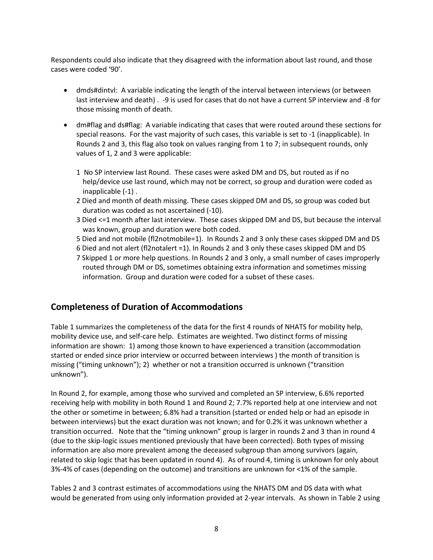Respondents could also indicate that they disagreed with the information about last round, and those cases were coded '90'.

- dmds#dintvl: A variable indicating the length of the interval between interviews (or between last interview and death) . -9 is used for cases that do not have a current SP interview and -8 for those missing month of death.
- dm#flag and ds#flag: A variable indicating that cases that were routed around these sections for special reasons. For the vast majority of such cases, this variable is set to -1 (inapplicable). In Rounds 2 and 3, this flag also took on values ranging from 1 to 7; in subsequent rounds, only values of 1, 2 and 3 were applicable:
	- 1 No SP interview last Round. These cases were asked DM and DS, but routed as if no help/device use last round, which may not be correct, so group and duration were coded as inapplicable (-1) .
	- 2 Died and month of death missing. These cases skipped DM and DS, so group was coded but duration was coded as not ascertained (-10).
	- 3 Died <=1 month after last interview. These cases skipped DM and DS, but because the interval was known, group and duration were both coded.
	- 5 Died and not mobile (fl2notmobile=1). In Rounds 2 and 3 only these cases skipped DM and DS
	- 6 Died and not alert (fl2notalert =1). In Rounds 2 and 3 only these cases skipped DM and DS
	- 7 Skipped 1 or more help questions. In Rounds 2 and 3 only, a small number of cases improperly routed through DM or DS, sometimes obtaining extra information and sometimes missing information. Group and duration were coded for a subset of these cases.

### <span id="page-7-0"></span>**Completeness of Duration of Accommodations**

Table 1 summarizes the completeness of the data for the first 4 rounds of NHATS for mobility help, mobility device use, and self-care help. Estimates are weighted. Two distinct forms of missing information are shown: 1) among those known to have experienced a transition (accommodation started or ended since prior interview or occurred between interviews ) the month of transition is missing ("timing unknown"); 2) whether or not a transition occurred is unknown ("transition unknown").

In Round 2, for example, among those who survived and completed an SP interview, 6.6% reported receiving help with mobility in both Round 1 and Round 2; 7.7% reported help at one interview and not the other or sometime in between; 6.8% had a transition (started or ended help or had an episode in between interviews) but the exact duration was not known; and for 0.2% it was unknown whether a transition occurred. Note that the "timing unknown" group is larger in rounds 2 and 3 than in round 4 (due to the skip-logic issues mentioned previously that have been corrected). Both types of missing information are also more prevalent among the deceased subgroup than among survivors (again, related to skip logic that has been updated in round 4). As of round 4, timing is unknown for only about 3%-4% of cases (depending on the outcome) and transitions are unknown for <1% of the sample.

Tables 2 and 3 contrast estimates of accommodations using the NHATS DM and DS data with what would be generated from using only information provided at 2-year intervals. As shown in Table 2 using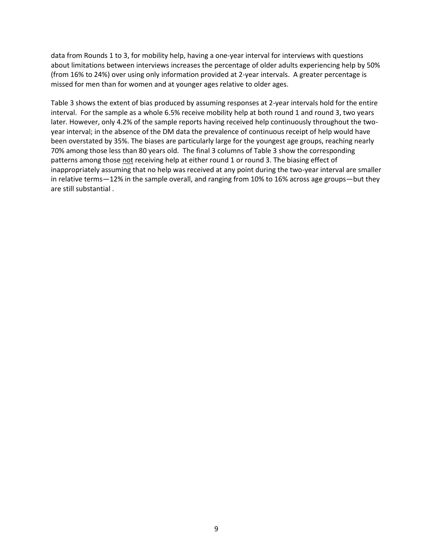data from Rounds 1 to 3, for mobility help, having a one-year interval for interviews with questions about limitations between interviews increases the percentage of older adults experiencing help by 50% (from 16% to 24%) over using only information provided at 2-year intervals. A greater percentage is missed for men than for women and at younger ages relative to older ages.

Table 3 shows the extent of bias produced by assuming responses at 2-year intervals hold for the entire interval. For the sample as a whole 6.5% receive mobility help at both round 1 and round 3, two years later. However, only 4.2% of the sample reports having received help continuously throughout the twoyear interval; in the absence of the DM data the prevalence of continuous receipt of help would have been overstated by 35%. The biases are particularly large for the youngest age groups, reaching nearly 70% among those less than 80 years old. The final 3 columns of Table 3 show the corresponding patterns among those not receiving help at either round 1 or round 3. The biasing effect of inappropriately assuming that no help was received at any point during the two-year interval are smaller in relative terms—12% in the sample overall, and ranging from 10% to 16% across age groups—but they are still substantial .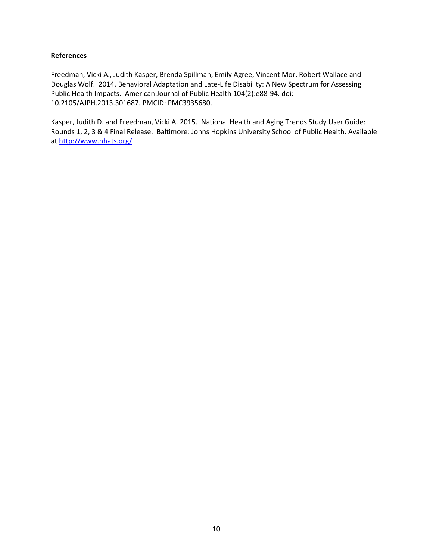#### <span id="page-9-0"></span>**References**

Freedman, Vicki A., Judith Kasper, Brenda Spillman, Emily Agree, Vincent Mor, Robert Wallace and Douglas Wolf. 2014. Behavioral Adaptation and Late-Life Disability: A New Spectrum for Assessing Public Health Impacts. American Journal of Public Health 104(2):e88-94. doi: 10.2105/AJPH.2013.301687. PMCID: PMC3935680.

Kasper, Judith D. and Freedman, Vicki A. 2015. National Health and Aging Trends Study User Guide: Rounds 1, 2, 3 & 4 Final Release. Baltimore: Johns Hopkins University School of Public Health. Available at <http://www.nhats.org/>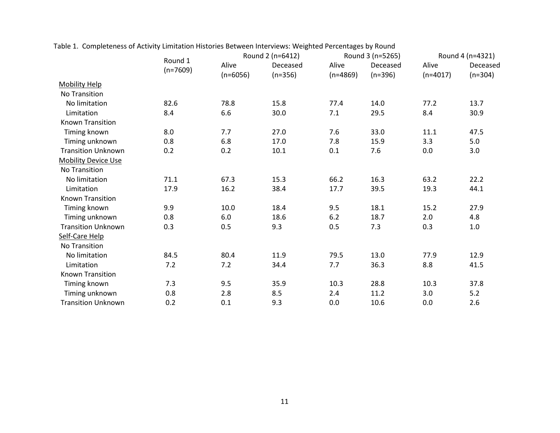|                            |                       | Round 2 (n=6412)    |                       | Round 3 (n=5265)    |                       | Round 4 (n=4321)    |                       |
|----------------------------|-----------------------|---------------------|-----------------------|---------------------|-----------------------|---------------------|-----------------------|
|                            | Round 1<br>$(n=7609)$ | Alive<br>$(n=6056)$ | Deceased<br>$(n=356)$ | Alive<br>$(n=4869)$ | Deceased<br>$(n=396)$ | Alive<br>$(n=4017)$ | Deceased<br>$(n=304)$ |
| <b>Mobility Help</b>       |                       |                     |                       |                     |                       |                     |                       |
| <b>No Transition</b>       |                       |                     |                       |                     |                       |                     |                       |
| No limitation              | 82.6                  | 78.8                | 15.8                  | 77.4                | 14.0                  | 77.2                | 13.7                  |
| Limitation                 | 8.4                   | 6.6                 | 30.0                  | 7.1                 | 29.5                  | 8.4                 | 30.9                  |
| <b>Known Transition</b>    |                       |                     |                       |                     |                       |                     |                       |
| Timing known               | 8.0                   | 7.7                 | 27.0                  | 7.6                 | 33.0                  | 11.1                | 47.5                  |
| Timing unknown             | 0.8                   | 6.8                 | 17.0                  | 7.8                 | 15.9                  | 3.3                 | 5.0                   |
| <b>Transition Unknown</b>  | 0.2                   | 0.2                 | 10.1                  | 0.1                 | 7.6                   | 0.0                 | 3.0                   |
| <b>Mobility Device Use</b> |                       |                     |                       |                     |                       |                     |                       |
| <b>No Transition</b>       |                       |                     |                       |                     |                       |                     |                       |
| No limitation              | 71.1                  | 67.3                | 15.3                  | 66.2                | 16.3                  | 63.2                | 22.2                  |
| Limitation                 | 17.9                  | 16.2                | 38.4                  | 17.7                | 39.5                  | 19.3                | 44.1                  |
| <b>Known Transition</b>    |                       |                     |                       |                     |                       |                     |                       |
| Timing known               | 9.9                   | 10.0                | 18.4                  | 9.5                 | 18.1                  | 15.2                | 27.9                  |
| Timing unknown             | 0.8                   | 6.0                 | 18.6                  | 6.2                 | 18.7                  | 2.0                 | 4.8                   |
| <b>Transition Unknown</b>  | 0.3                   | 0.5                 | 9.3                   | 0.5                 | 7.3                   | 0.3                 | 1.0                   |
| Self-Care Help             |                       |                     |                       |                     |                       |                     |                       |
| No Transition              |                       |                     |                       |                     |                       |                     |                       |
| No limitation              | 84.5                  | 80.4                | 11.9                  | 79.5                | 13.0                  | 77.9                | 12.9                  |
| Limitation                 | 7.2                   | 7.2                 | 34.4                  | 7.7                 | 36.3                  | 8.8                 | 41.5                  |
| Known Transition           |                       |                     |                       |                     |                       |                     |                       |
| Timing known               | 7.3                   | 9.5                 | 35.9                  | 10.3                | 28.8                  | 10.3                | 37.8                  |
| Timing unknown             | 0.8                   | 2.8                 | 8.5                   | 2.4                 | 11.2                  | 3.0                 | 5.2                   |
| <b>Transition Unknown</b>  | 0.2                   | 0.1                 | 9.3                   | 0.0                 | 10.6                  | 0.0                 | 2.6                   |

Table 1. Completeness of Activity Limitation Histories Between Interviews: Weighted Percentages by Round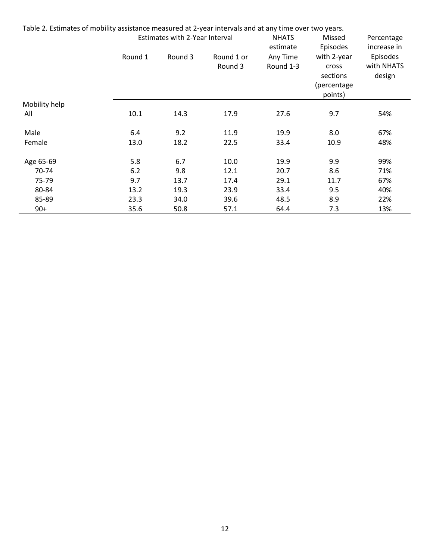| Table 2. Estimates of mobility assistance measured at 2-year intervals and at any time over two years. |                                |         |                       |                       |                                    |                           |
|--------------------------------------------------------------------------------------------------------|--------------------------------|---------|-----------------------|-----------------------|------------------------------------|---------------------------|
|                                                                                                        | Estimates with 2-Year Interval |         |                       | <b>NHATS</b>          | Missed<br>Episodes                 | Percentage<br>increase in |
|                                                                                                        |                                |         |                       | estimate              |                                    |                           |
|                                                                                                        | Round 1                        | Round 3 | Round 1 or<br>Round 3 | Any Time<br>Round 1-3 | with 2-year<br>cross               | Episodes<br>with NHATS    |
|                                                                                                        |                                |         |                       |                       | sections<br>(percentage<br>points) | design                    |
| Mobility help                                                                                          |                                |         |                       |                       |                                    |                           |
| All                                                                                                    | 10.1                           | 14.3    | 17.9                  | 27.6                  | 9.7                                | 54%                       |
| Male                                                                                                   | 6.4                            | 9.2     | 11.9                  | 19.9                  | 8.0                                | 67%                       |
| Female                                                                                                 | 13.0                           | 18.2    | 22.5                  | 33.4                  | 10.9                               | 48%                       |
| Age 65-69                                                                                              | 5.8                            | 6.7     | 10.0                  | 19.9                  | 9.9                                | 99%                       |
| 70-74                                                                                                  | 6.2                            | 9.8     | 12.1                  | 20.7                  | 8.6                                | 71%                       |
| 75-79                                                                                                  | 9.7                            | 13.7    | 17.4                  | 29.1                  | 11.7                               | 67%                       |
| 80-84                                                                                                  | 13.2                           | 19.3    | 23.9                  | 33.4                  | 9.5                                | 40%                       |
| 85-89                                                                                                  | 23.3                           | 34.0    | 39.6                  | 48.5                  | 8.9                                | 22%                       |
| $90+$                                                                                                  | 35.6                           | 50.8    | 57.1                  | 64.4                  | 7.3                                | 13%                       |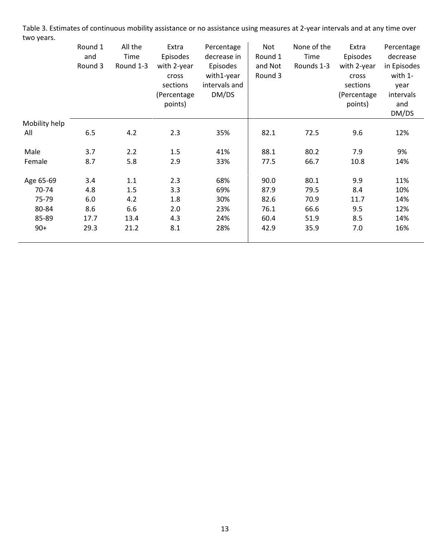Table 3. Estimates of continuous mobility assistance or no assistance using measures at 2-year intervals and at any time over two years.

|               | Round 1<br>and<br>Round 3 | All the<br>Time<br>Round 1-3 | Extra<br>Episodes<br>with 2-year<br>cross<br>sections<br>(Percentage<br>points) | Percentage<br>decrease in<br>Episodes<br>with1-year<br>intervals and<br>DM/DS | Not<br>Round 1<br>and Not<br>Round 3 | None of the<br>Time<br>Rounds 1-3 | Extra<br>Episodes<br>with 2-year<br>cross<br>sections<br>(Percentage<br>points) | Percentage<br>decrease<br>in Episodes<br>with 1-<br>year<br>intervals<br>and |
|---------------|---------------------------|------------------------------|---------------------------------------------------------------------------------|-------------------------------------------------------------------------------|--------------------------------------|-----------------------------------|---------------------------------------------------------------------------------|------------------------------------------------------------------------------|
| Mobility help |                           |                              |                                                                                 |                                                                               |                                      |                                   |                                                                                 | DM/DS                                                                        |
| All           | 6.5                       | 4.2                          | 2.3                                                                             | 35%                                                                           | 82.1                                 | 72.5                              | 9.6                                                                             | 12%                                                                          |
| Male          | 3.7                       | 2.2                          | 1.5                                                                             | 41%                                                                           | 88.1                                 | 80.2                              | 7.9                                                                             | 9%                                                                           |
| Female        | 8.7                       | 5.8                          | 2.9                                                                             | 33%                                                                           | 77.5                                 | 66.7                              | 10.8                                                                            | 14%                                                                          |
| Age 65-69     | 3.4                       | 1.1                          | 2.3                                                                             | 68%                                                                           | 90.0                                 | 80.1                              | 9.9                                                                             | 11%                                                                          |
| 70-74         | 4.8                       | 1.5                          | 3.3                                                                             | 69%                                                                           | 87.9                                 | 79.5                              | 8.4                                                                             | 10%                                                                          |
| 75-79         | 6.0                       | 4.2                          | 1.8                                                                             | 30%                                                                           | 82.6                                 | 70.9                              | 11.7                                                                            | 14%                                                                          |
| 80-84         | 8.6                       | 6.6                          | 2.0                                                                             | 23%                                                                           | 76.1                                 | 66.6                              | 9.5                                                                             | 12%                                                                          |
| 85-89         | 17.7                      | 13.4                         | 4.3                                                                             | 24%                                                                           | 60.4                                 | 51.9                              | 8.5                                                                             | 14%                                                                          |
| $90+$         | 29.3                      | 21.2                         | 8.1                                                                             | 28%                                                                           | 42.9                                 | 35.9                              | 7.0                                                                             | 16%                                                                          |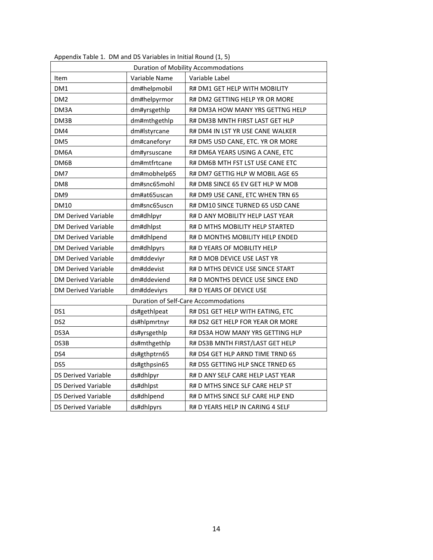| <b>Duration of Mobility Accommodations</b> |               |                                   |  |  |
|--------------------------------------------|---------------|-----------------------------------|--|--|
| Item                                       | Variable Name | Variable Label                    |  |  |
| DM1                                        | dm#helpmobil  | R# DM1 GET HELP WITH MOBILITY     |  |  |
| DM <sub>2</sub>                            | dm#helpyrmor  | R# DM2 GETTING HELP YR OR MORE    |  |  |
| DM3A                                       | dm#yrsgethlp  | R# DM3A HOW MANY YRS GETTNG HELP  |  |  |
| DM3B                                       | dm#mthgethlp  | R# DM3B MNTH FIRST LAST GET HLP   |  |  |
| DM4                                        | dm#lstyrcane  | R# DM4 IN LST YR USE CANE WALKER  |  |  |
| DM <sub>5</sub>                            | dm#caneforyr  | R# DM5 USD CANE, ETC. YR OR MORE  |  |  |
| DM6A                                       | dm#yrsuscane  | R# DM6A YEARS USING A CANE, ETC   |  |  |
| DM6B                                       | dm#mtfrtcane  | R# DM6B MTH FST LST USE CANE ETC  |  |  |
| DM7                                        | dm#mobhelp65  | R# DM7 GETTIG HLP W MOBIL AGE 65  |  |  |
| DM <sub>8</sub>                            | dm#snc65mohl  | R# DM8 SINCE 65 EV GET HLP W MOB  |  |  |
| DM9                                        | dm#at65uscan  | R# DM9 USE CANE, ETC WHEN TRN 65  |  |  |
| <b>DM10</b>                                | dm#snc65uscn  | R# DM10 SINCE TURNED 65 USD CANE  |  |  |
| <b>DM Derived Variable</b>                 | dm#dhlpyr     | R# D ANY MOBILITY HELP LAST YEAR  |  |  |
| <b>DM Derived Variable</b>                 | dm#dhlpst     | R# D MTHS MOBILITY HELP STARTED   |  |  |
| <b>DM Derived Variable</b>                 | dm#dhlpend    | R# D MONTHS MOBILITY HELP ENDED   |  |  |
| <b>DM Derived Variable</b>                 | dm#dhlpyrs    | R# D YEARS OF MOBILITY HELP       |  |  |
| <b>DM Derived Variable</b>                 | dm#ddeviyr    | R# D MOB DEVICE USE LAST YR       |  |  |
| <b>DM Derived Variable</b>                 | dm#ddevist    | R# D MTHS DEVICE USE SINCE START  |  |  |
| <b>DM Derived Variable</b>                 | dm#ddeviend   | R# D MONTHS DEVICE USE SINCE END  |  |  |
| DM Derived Variable                        | dm#ddeviyrs   | R# D YEARS OF DEVICE USE          |  |  |
| Duration of Self-Care Accommodations       |               |                                   |  |  |
| DS1                                        | ds#gethlpeat  | R# DS1 GET HELP WITH EATING, ETC  |  |  |
| DS <sub>2</sub>                            | ds#hlpmrtnyr  | R# DS2 GET HELP FOR YEAR OR MORE  |  |  |
| DS3A                                       | ds#yrsgethlp  | R# DS3A HOW MANY YRS GETTING HLP  |  |  |
| DS3B                                       | ds#mthgethlp  | R# DS3B MNTH FIRST/LAST GET HELP  |  |  |
| DS4                                        | ds#gthptrn65  | R# DS4 GET HLP ARND TIME TRND 65  |  |  |
| DS5                                        | ds#gthpsin65  | R# DS5 GETTING HLP SNCE TRNED 65  |  |  |
| <b>DS Derived Variable</b>                 | ds#dhlpyr     | R# D ANY SELF CARE HELP LAST YEAR |  |  |
| <b>DS Derived Variable</b>                 | ds#dhlpst     | R# D MTHS SINCE SLF CARE HELP ST  |  |  |
| DS Derived Variable                        | ds#dhlpend    | R# D MTHS SINCE SLF CARE HLP END  |  |  |
| <b>DS Derived Variable</b>                 | ds#dhlpyrs    | R# D YEARS HELP IN CARING 4 SELF  |  |  |

Appendix Table 1. DM and DS Variables in Initial Round (1, 5)